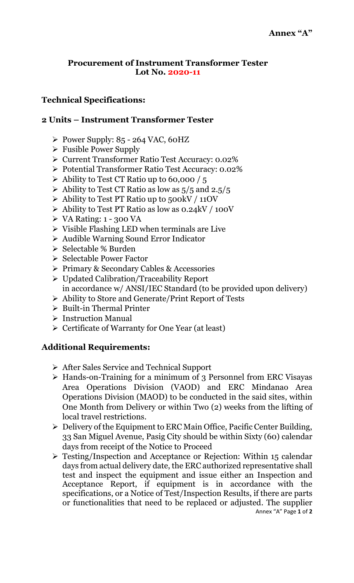## **Procurement of Instrument Transformer Tester Lot No. 2020-11**

## **Technical Specifications:**

## **2 Units – Instrument Transformer Tester**

- Power Supply:  $85 264$  VAC, 60HZ
- $\triangleright$  Fusible Power Supply
- Current Transformer Ratio Test Accuracy: 0.02%
- Potential Transformer Ratio Test Accuracy: 0.02%
- $\triangleright$  Ability to Test CT Ratio up to 60,000 / 5
- $\triangleright$  Ability to Test CT Ratio as low as  $5/5$  and 2.5/5
- $\triangleright$  Ability to Test PT Ratio up to 500kV / 11OV
- $\triangleright$  Ability to Test PT Ratio as low as 0.24kV / 100V
- $\triangleright$  VA Rating: 1 300 VA
- $\triangleright$  Visible Flashing LED when terminals are Live
- Audible Warning Sound Error Indicator
- $\triangleright$  Selectable % Burden
- $\triangleright$  Selectable Power Factor
- Primary & Secondary Cables & Accessories
- Updated Calibration/Traceability Report in accordance w/ ANSI/IEC Standard (to be provided upon delivery)
- Ability to Store and Generate/Print Report of Tests
- $\triangleright$  Built-in Thermal Printer
- > Instruction Manual
- $\triangleright$  Certificate of Warranty for One Year (at least)

## **Additional Requirements:**

- After Sales Service and Technical Support
- > Hands-on-Training for a minimum of 3 Personnel from ERC Visayas Area Operations Division (VAOD) and ERC Mindanao Area Operations Division (MAOD) to be conducted in the said sites, within One Month from Delivery or within Two (2) weeks from the lifting of local travel restrictions.
- $\triangleright$  Delivery of the Equipment to ERC Main Office, Pacific Center Building, 33 San Miguel Avenue, Pasig City should be within Sixty (60) calendar days from receipt of the Notice to Proceed
- Annex "A" Page **1** of **2** Testing/Inspection and Acceptance or Rejection: Within 15 calendar days from actual delivery date, the ERC authorized representative shall test and inspect the equipment and issue either an Inspection and Acceptance Report, if equipment is in accordance with the specifications, or a Notice of Test/Inspection Results, if there are parts or functionalities that need to be replaced or adjusted. The supplier